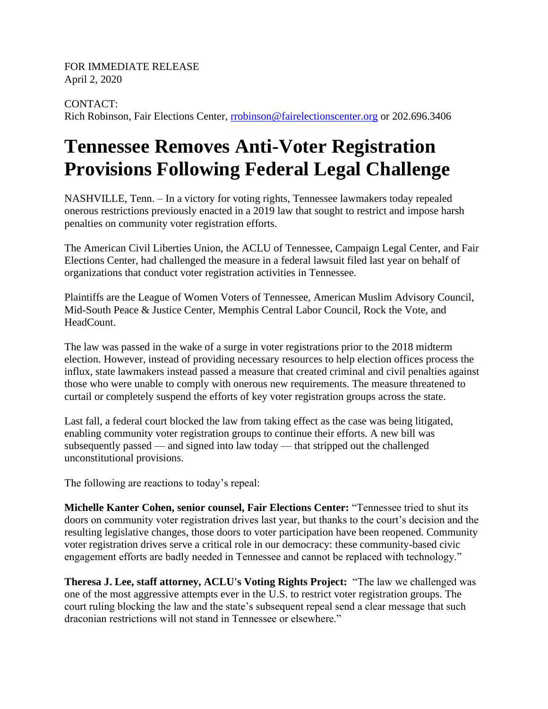FOR IMMEDIATE RELEASE April 2, 2020

## CONTACT:

Rich Robinson, Fair Elections Center, [rrobinson@fairelectionscenter.org](mailto:rrobinson@fairelectionscenter.org) or 202.696.3406

## **Tennessee Removes Anti-Voter Registration Provisions Following Federal Legal Challenge**

NASHVILLE, Tenn. – In a victory for voting rights, Tennessee lawmakers today repealed onerous restrictions previously enacted in a 2019 law that sought to restrict and impose harsh penalties on community voter registration efforts.

The American Civil Liberties Union, the ACLU of Tennessee, Campaign Legal Center, and Fair Elections Center, had challenged the measure in a federal lawsuit filed last year on behalf of organizations that conduct voter registration activities in Tennessee.

Plaintiffs are the League of Women Voters of Tennessee, American Muslim Advisory Council, Mid-South Peace & Justice Center, Memphis Central Labor Council, Rock the Vote, and HeadCount.

The law was passed in the wake of a surge in voter registrations prior to the 2018 midterm election. However, instead of providing necessary resources to help election offices process the influx, state lawmakers instead passed a measure that created criminal and civil penalties against those who were unable to comply with onerous new requirements. The measure threatened to curtail or completely suspend the efforts of key voter registration groups across the state.

Last fall, a federal court blocked the law from taking effect as the case was being litigated, enabling community voter registration groups to continue their efforts. A new bill was subsequently passed — and signed into law today — that stripped out the challenged unconstitutional provisions.

The following are reactions to today's repeal:

**Michelle Kanter Cohen, senior counsel, Fair Elections Center:** "Tennessee tried to shut its doors on community voter registration drives last year, but thanks to the court's decision and the resulting legislative changes, those doors to voter participation have been reopened. Community voter registration drives serve a critical role in our democracy: these community-based civic engagement efforts are badly needed in Tennessee and cannot be replaced with technology."

**Theresa J. Lee, staff attorney, ACLU's Voting Rights Project:** "The law we challenged was one of the most aggressive attempts ever in the U.S. to restrict voter registration groups. The court ruling blocking the law and the state's subsequent repeal send a clear message that such draconian restrictions will not stand in Tennessee or elsewhere."